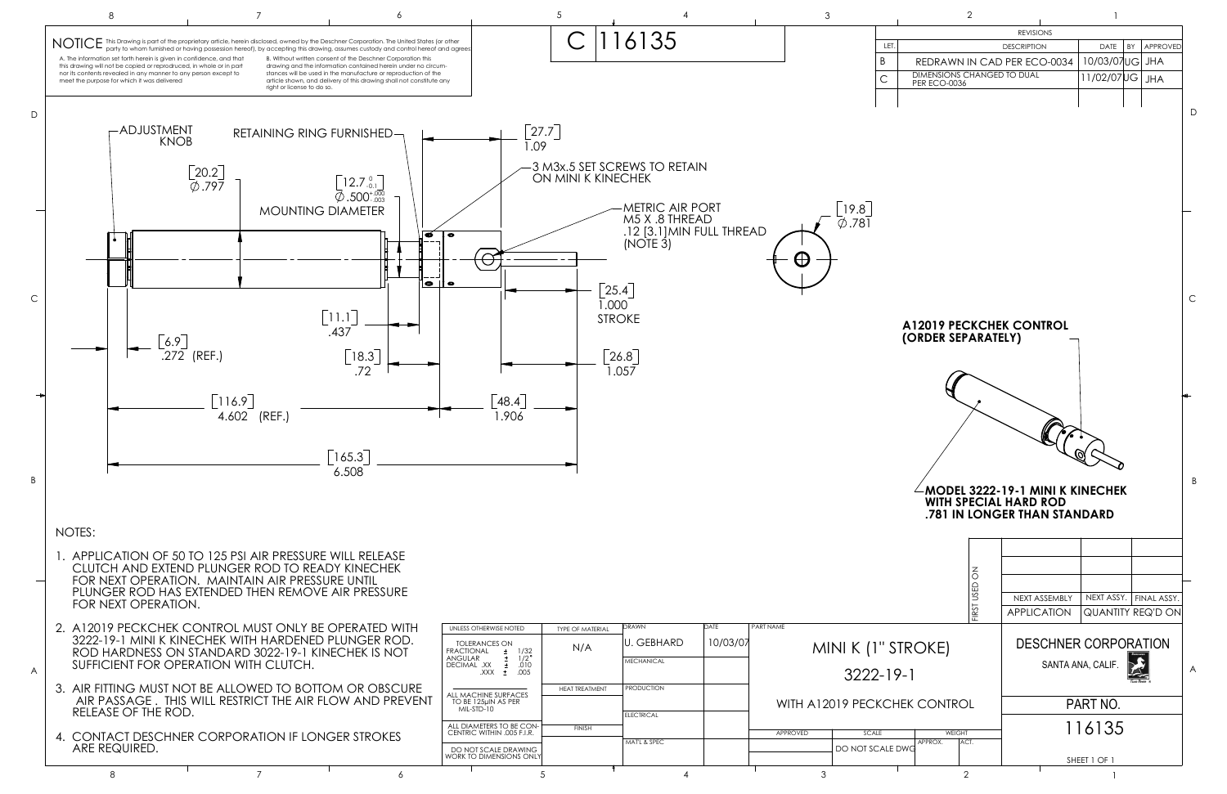

|                                                                        | $\mathbf{2}$                      |               |                             | 1                 |    |                          |    |
|------------------------------------------------------------------------|-----------------------------------|---------------|-----------------------------|-------------------|----|--------------------------|----|
|                                                                        |                                   |               | <b>REVISIONS</b>            |                   |    |                          |    |
| LET.                                                                   |                                   |               | <b>DESCRIPTION</b>          | <b>DATE</b>       | BY | <b>APPROVED</b>          |    |
| Β                                                                      |                                   |               | REDRAWN IN CAD PER ECO-0034 | 10/03/07UG        |    | <b>JHA</b>               |    |
| С                                                                      | <b>DIMENSIONS CHANGED TO DUAL</b> |               |                             | 11/02/07UG        |    | <b>JHA</b>               |    |
|                                                                        | <b>PER ECO-0036</b>               |               |                             |                   |    |                          |    |
|                                                                        |                                   |               |                             |                   |    |                          |    |
|                                                                        |                                   |               |                             |                   |    |                          | D. |
|                                                                        |                                   |               |                             |                   |    |                          |    |
|                                                                        |                                   |               |                             |                   |    |                          |    |
|                                                                        |                                   |               |                             |                   |    |                          |    |
|                                                                        |                                   |               |                             |                   |    |                          |    |
|                                                                        |                                   |               |                             |                   |    |                          |    |
|                                                                        |                                   |               |                             |                   |    |                          |    |
|                                                                        |                                   |               |                             |                   |    |                          |    |
|                                                                        |                                   |               |                             |                   |    |                          |    |
|                                                                        |                                   |               |                             |                   |    |                          |    |
|                                                                        |                                   |               |                             |                   |    |                          |    |
|                                                                        |                                   |               |                             |                   |    |                          | С  |
|                                                                        |                                   |               |                             |                   |    |                          |    |
|                                                                        | <b>A12019 PECKCHEK CONTROL</b>    |               |                             |                   |    |                          |    |
| (ORDER SEPARATELY)                                                     |                                   |               |                             |                   |    |                          |    |
|                                                                        |                                   |               |                             |                   |    |                          |    |
|                                                                        |                                   |               |                             |                   |    |                          |    |
|                                                                        |                                   |               |                             |                   |    |                          |    |
|                                                                        |                                   |               |                             |                   |    |                          |    |
|                                                                        |                                   |               |                             |                   |    |                          |    |
|                                                                        |                                   |               |                             |                   |    |                          |    |
|                                                                        |                                   |               |                             |                   |    |                          |    |
|                                                                        |                                   |               |                             |                   |    |                          |    |
|                                                                        |                                   |               |                             |                   |    |                          | B  |
| <b>MODEL 3222-19-1 MINI K KINECHEK</b><br><b>WITH SPECIAL HARD ROD</b> |                                   |               |                             |                   |    |                          |    |
| .781 IN LONGER THAN STANDARD                                           |                                   |               |                             |                   |    |                          |    |
|                                                                        |                                   |               |                             |                   |    |                          |    |
|                                                                        |                                   |               |                             |                   |    |                          |    |
|                                                                        |                                   |               |                             |                   |    |                          |    |
|                                                                        |                                   |               |                             |                   |    |                          |    |
|                                                                        |                                   | FIRST USED ON | NEXT ASSEMBLY               | NEXT ASSY.        |    | FINAL ASSY.              |    |
|                                                                        |                                   |               | <b>APPLICATION</b>          |                   |    | <b>QUANTITY REQ'D ON</b> |    |
|                                                                        |                                   |               |                             |                   |    |                          |    |
|                                                                        |                                   |               |                             |                   |    |                          |    |
| " STROKE)                                                              |                                   |               | <b>DESCHNER CORPORATION</b> |                   |    |                          |    |
| $-19-1$                                                                |                                   |               |                             | SANTA ANA, CALIF. |    |                          | A  |
|                                                                        |                                   |               |                             |                   |    |                          |    |
| CHEK CONTROL                                                           |                                   |               |                             | PART NO.          |    |                          |    |
|                                                                        |                                   |               |                             |                   |    |                          |    |
| <b>WEIGHT</b>                                                          |                                   |               |                             | 116135            |    |                          |    |
| ALE DWG                                                                | APPROX.<br>ACT.                   |               |                             |                   |    |                          |    |
|                                                                        |                                   |               |                             | SHEET 1 OF 1      |    |                          |    |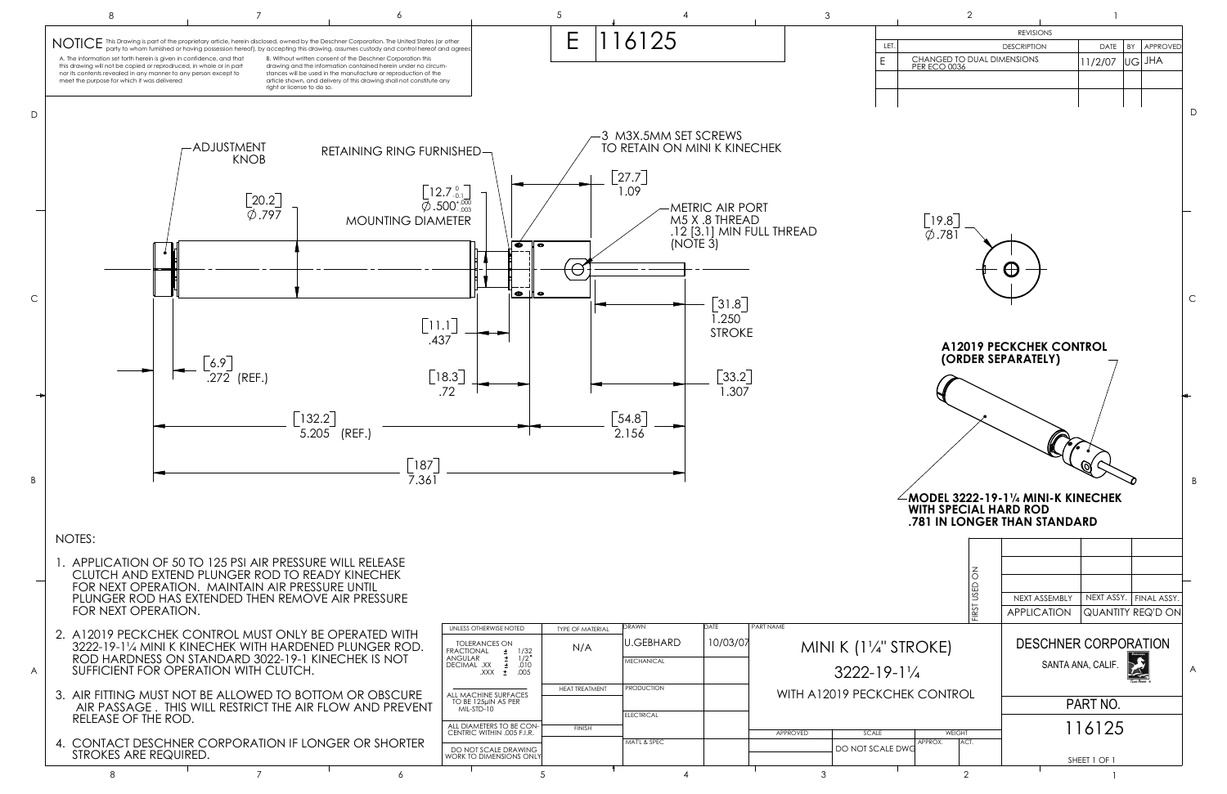